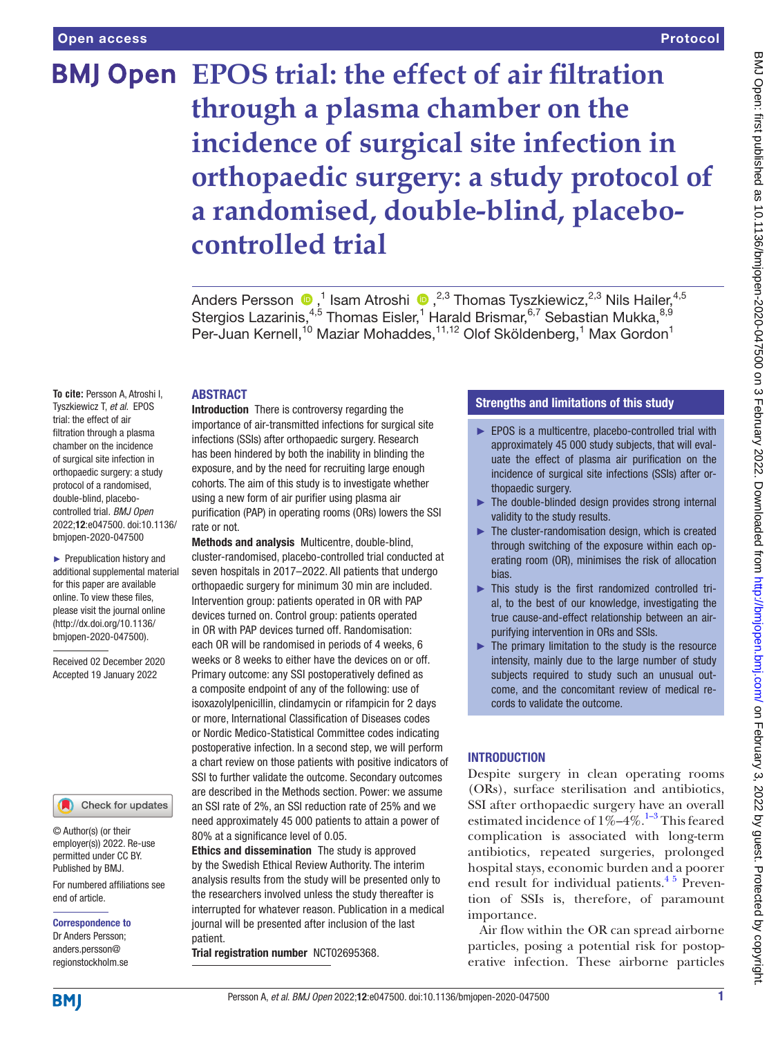## Protocol

# **BMJ Open EPOS trial: the effect of air filtration through a plasma chamber on the incidence of surgical site infection in orthopaedic surgery: a study protocol of a randomised, double-blind, placebocontrolled trial**

Anders Persson  $\bullet$ ,<sup>1</sup> Isam Atroshi  $\bullet$ ,<sup>2,3</sup> Thomas Tyszkiewicz,<sup>2,3</sup> Nils Hailer,<sup>4,5</sup> Stergios Lazarinis,<sup>4,5</sup> Thomas Eisler,<sup>1</sup> Harald Brismar,<sup>6,7</sup> Sebastian Mukka,<sup>8,9</sup> Per-Juan Kernell,<sup>10</sup> Maziar Mohaddes,<sup>11,12</sup> Olof Sköldenberg,<sup>1</sup> Max Gordon<sup>1</sup>

#### ABSTRACT

**To cite:** Persson A, Atroshi I, Tyszkiewicz T, *et al*. EPOS trial: the effect of air filtration through a plasma chamber on the incidence of surgical site infection in orthopaedic surgery: a study protocol of a randomised, double-blind, placebocontrolled trial. *BMJ Open* 2022;12:e047500. doi:10.1136/ bmjopen-2020-047500

► Prepublication history and additional supplemental material for this paper are available online. To view these files, please visit the journal online [\(http://dx.doi.org/10.1136/](http://dx.doi.org/10.1136/bmjopen-2020-047500) [bmjopen-2020-047500](http://dx.doi.org/10.1136/bmjopen-2020-047500)).

Received 02 December 2020 Accepted 19 January 2022

#### Check for updates

© Author(s) (or their employer(s)) 2022. Re-use permitted under CC BY. Published by BMJ.

For numbered affiliations see end of article.

#### Correspondence to

Dr Anders Persson; anders.persson@ regionstockholm.se Introduction There is controversy regarding the importance of air-transmitted infections for surgical site infections (SSIs) after orthopaedic surgery. Research has been hindered by both the inability in blinding the exposure, and by the need for recruiting large enough cohorts. The aim of this study is to investigate whether using a new form of air purifier using plasma air purification (PAP) in operating rooms (ORs) lowers the SSI rate or not.

Methods and analysis Multicentre, double-blind, cluster-randomised, placebo-controlled trial conducted at seven hospitals in 2017–2022. All patients that undergo orthopaedic surgery for minimum 30 min are included. Intervention group: patients operated in OR with PAP devices turned on. Control group: patients operated in OR with PAP devices turned off. Randomisation: each OR will be randomised in periods of 4 weeks, 6 weeks or 8 weeks to either have the devices on or off. Primary outcome: any SSI postoperatively defined as a composite endpoint of any of the following: use of isoxazolylpenicillin, clindamycin or rifampicin for 2 days or more, International Classification of Diseases codes or Nordic Medico-Statistical Committee codes indicating postoperative infection. In a second step, we will perform a chart review on those patients with positive indicators of SSI to further validate the outcome. Secondary outcomes are described in the Methods section. Power: we assume an SSI rate of 2%, an SSI reduction rate of 25% and we need approximately 45 000 patients to attain a power of 80% at a significance level of 0.05.

Ethics and dissemination The study is approved by the Swedish Ethical Review Authority. The interim analysis results from the study will be presented only to the researchers involved unless the study thereafter is interrupted for whatever reason. Publication in a medical journal will be presented after inclusion of the last patient.

Trial registration number <NCT02695368>.

## Strengths and limitations of this study

- ► EPOS is a multicentre, placebo-controlled trial with approximately 45 000 study subjects, that will evaluate the effect of plasma air purification on the incidence of surgical site infections (SSIs) after orthopaedic surgery.
- $\blacktriangleright$  The double-blinded design provides strong internal validity to the study results.
- $\blacktriangleright$  The cluster-randomisation design, which is created through switching of the exposure within each operating room (OR), minimises the risk of allocation bias.
- ► This study is the first randomized controlled trial, to the best of our knowledge, investigating the true cause-and-effect relationship between an airpurifying intervention in ORs and SSIs.
- $\blacktriangleright$  The primary limitation to the study is the resource intensity, mainly due to the large number of study subjects required to study such an unusual outcome, and the concomitant review of medical records to validate the outcome.

## **INTRODUCTION**

Despite surgery in clean operating rooms (ORs), surface sterilisation and antibiotics, SSI after orthopaedic surgery have an overall estimated incidence of  $1\% - 4\%$ .<sup>1–3</sup> This feared complication is associated with long-term antibiotics, repeated surgeries, prolonged hospital stays, economic burden and a poorer end result for individual patients.<sup>45</sup> Prevention of SSIs is, therefore, of paramount importance.

Air flow within the OR can spread airborne particles, posing a potential risk for postoperative infection. These airborne particles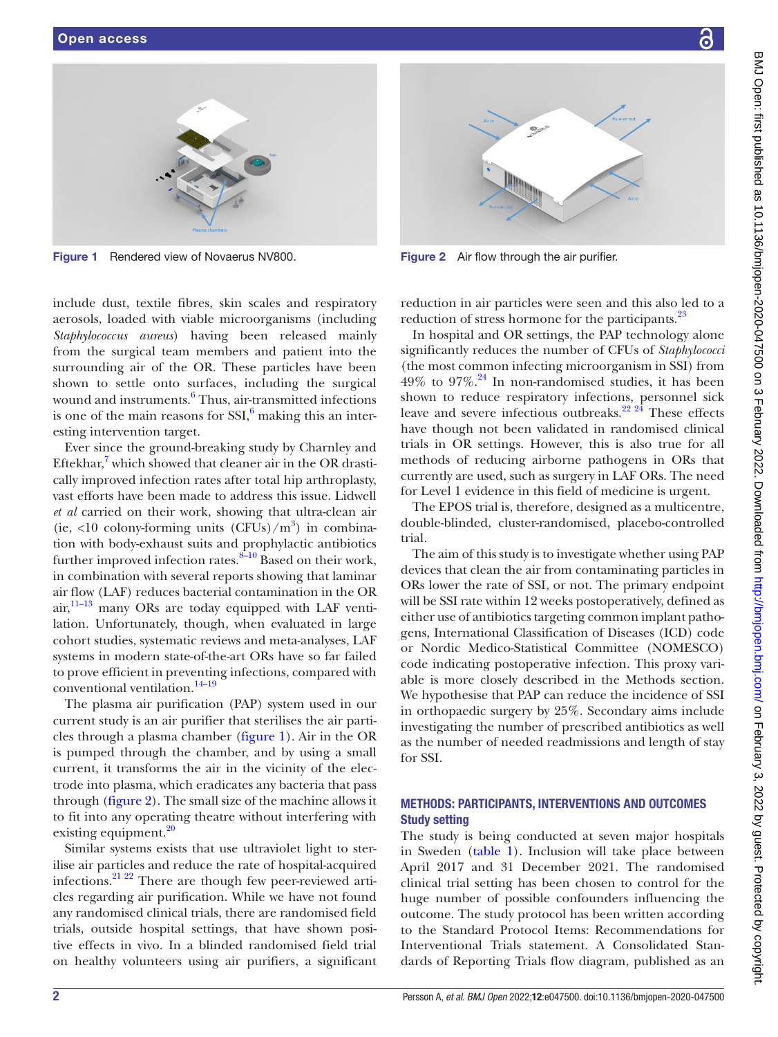



Figure 1 Rendered view of Novaerus NV800. Figure 2 Air flow through the air purifier.

<span id="page-1-0"></span>include dust, textile fibres, skin scales and respiratory aerosols, loaded with viable microorganisms (including *Staphylococcus aureus*) having been released mainly from the surgical team members and patient into the surrounding air of the OR. These particles have been shown to settle onto surfaces, including the surgical wound and instruments.<sup>6</sup> Thus, air-transmitted infections is one of the main reasons for  $SSI<sup>6</sup>$  $SSI<sup>6</sup>$  $SSI<sup>6</sup>$  making this an interesting intervention target.

Ever since the ground-breaking study by Charnley and Eftekhar,<sup>[7](#page-5-3)</sup> which showed that cleaner air in the OR drastically improved infection rates after total hip arthroplasty, vast efforts have been made to address this issue. Lidwell *et al* carried on their work, showing that ultra-clean air (ie, <10 colony-forming units  $(CFUs)/m^3$ ) in combination with body-exhaust suits and prophylactic antibiotics further improved infection rates. $8-10$  Based on their work, in combination with several reports showing that laminar air flow (LAF) reduces bacterial contamination in the OR  $air,$ <sup>11–13</sup> many ORs are today equipped with LAF ventilation. Unfortunately, though, when evaluated in large cohort studies, systematic reviews and meta-analyses, LAF systems in modern state-of-the-art ORs have so far failed to prove efficient in preventing infections, compared with conventional ventilation.<sup>14-19</sup>

The plasma air purification (PAP) system used in our current study is an air purifier that sterilises the air particles through a plasma chamber ([figure](#page-1-0) 1). Air in the OR is pumped through the chamber, and by using a small current, it transforms the air in the vicinity of the electrode into plasma, which eradicates any bacteria that pass through ([figure](#page-1-1) 2). The small size of the machine allows it to fit into any operating theatre without interfering with existing equipment. $20$ 

Similar systems exists that use ultraviolet light to sterilise air particles and reduce the rate of hospital-acquired infections.[21 22](#page-6-2) There are though few peer-reviewed articles regarding air purification. While we have not found any randomised clinical trials, there are randomised field trials, outside hospital settings, that have shown positive effects in vivo. In a blinded randomised field trial on healthy volunteers using air purifiers, a significant



<span id="page-1-1"></span>

reduction in air particles were seen and this also led to a reduction of stress hormone for the participants.<sup>[23](#page-6-3)</sup>

In hospital and OR settings, the PAP technology alone significantly reduces the number of CFUs of *Staphylococci* (the most common infecting microorganism in SSI) from  $49\%$  to  $97\%$ .<sup>24</sup> In non-randomised studies, it has been shown to reduce respiratory infections, personnel sick leave and severe infectious outbreaks. $22 \frac{22 \frac{24}{3}}$  These effects have though not been validated in randomised clinical trials in OR settings. However, this is also true for all methods of reducing airborne pathogens in ORs that currently are used, such as surgery in LAF ORs. The need for Level 1 evidence in this field of medicine is urgent.

The EPOS trial is, therefore, designed as a multicentre, double-blinded, cluster-randomised, placebo-controlled trial.

The aim of this study is to investigate whether using PAP devices that clean the air from contaminating particles in ORs lower the rate of SSI, or not. The primary endpoint will be SSI rate within 12 weeks postoperatively, defined as either use of antibiotics targeting common implant pathogens, International Classification of Diseases (ICD) code or Nordic Medico-Statistical Committee (NOMESCO) code indicating postoperative infection. This proxy variable is more closely described in the Methods section. We hypothesise that PAP can reduce the incidence of SSI in orthopaedic surgery by 25%. Secondary aims include investigating the number of prescribed antibiotics as well as the number of needed readmissions and length of stay for SSI.

## METHODS: PARTICIPANTS, INTERVENTIONS AND OUTCOMES Study setting

The study is being conducted at seven major hospitals in Sweden [\(table](#page-2-0) 1). Inclusion will take place between April 2017 and 31 December 2021. The randomised clinical trial setting has been chosen to control for the huge number of possible confounders influencing the outcome. The study protocol has been written according to the [Standard Protocol Items: Recommendations for](https://www.spirit-statement.org/)  [Interventional Trials](https://www.spirit-statement.org/) statement. A Consolidated Standards of Reporting Trials flow diagram, published as an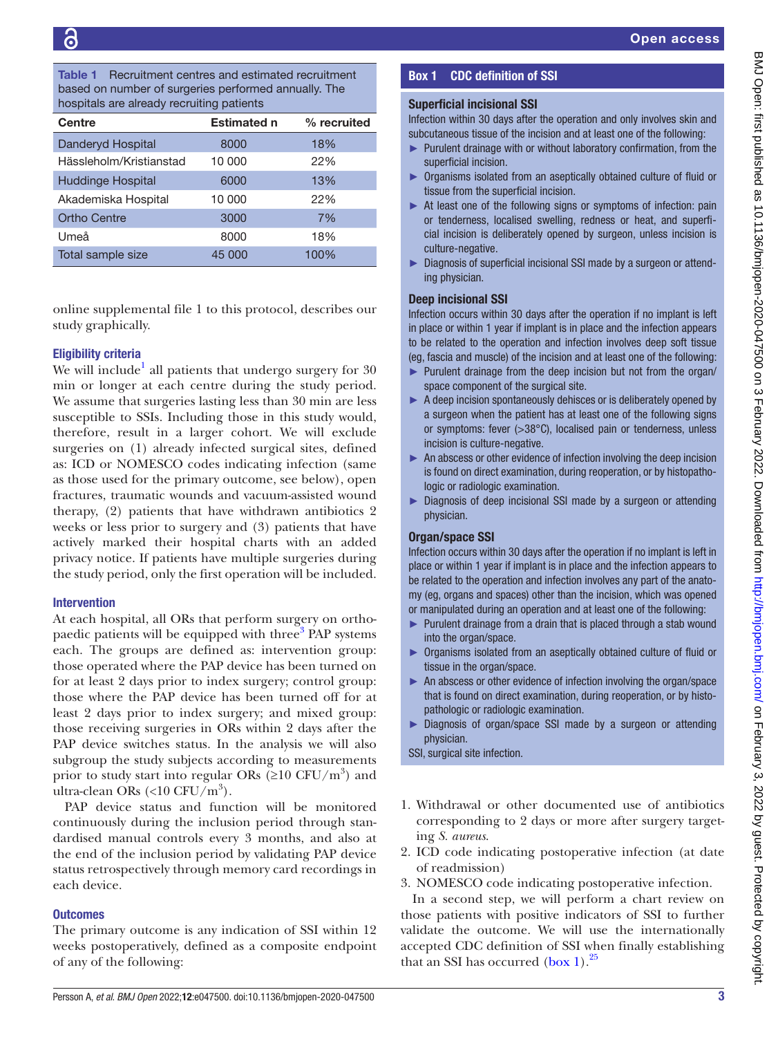<span id="page-2-0"></span>Table 1 Recruitment centres and estimated recruitment based on number of surgeries performed annually. The hospitals are already recruiting patients

| <b>Centre</b>            | <b>Estimated n</b> | % recruited |
|--------------------------|--------------------|-------------|
| Danderyd Hospital        | 8000               | 18%         |
| Hässleholm/Kristianstad  | 10 000             | 22%         |
| <b>Huddinge Hospital</b> | 6000               | 13%         |
| Akademiska Hospital      | 10 000             | 22%         |
| <b>Ortho Centre</b>      | 3000               | 7%          |
| Umeå                     | 8000               | 18%         |
| Total sample size        | 45 000             | 100%        |

[online supplemental file 1](https://dx.doi.org/10.1136/bmjopen-2020-047500) to this protocol, describes our study graphically.

## Eligibility criteria

We will include<sup>[1](#page-5-0)</sup> all patients that undergo surgery for 30 min or longer at each centre during the study period. We assume that surgeries lasting less than 30 min are less susceptible to SSIs. Including those in this study would, therefore, result in a larger cohort. We will exclude surgeries on (1) already infected surgical sites, defined as: ICD or NOMESCO codes indicating infection (same as those used for the primary outcome, see below), open fractures, traumatic wounds and vacuum-assisted wound therapy, (2) patients that have withdrawn antibiotics 2 weeks or less prior to surgery and (3) patients that have actively marked their hospital charts with an added privacy notice. If patients have multiple surgeries during the study period, only the first operation will be included.

#### Intervention

At each hospital, all ORs that perform surgery on ortho-paedic patients will be equipped with three<sup>[3](#page-5-6)</sup> PAP systems each. The groups are defined as: intervention group: those operated where the PAP device has been turned on for at least 2 days prior to index surgery; control group: those where the PAP device has been turned off for at least 2 days prior to index surgery; and mixed group: those receiving surgeries in ORs within 2 days after the PAP device switches status. In the analysis we will also subgroup the study subjects according to measurements prior to study start into regular ORs  $(≥10$  CFU/m<sup>3</sup>) and ultra-clean ORs  $\left\langle \times 10\text{ CFU/m}^3 \right\rangle$ .

PAP device status and function will be monitored continuously during the inclusion period through standardised manual controls every 3 months, and also at the end of the inclusion period by validating PAP device status retrospectively through memory card recordings in each device.

#### **Outcomes**

The primary outcome is any indication of SSI within 12 weeks postoperatively, defined as a composite endpoint of any of the following:

## Open access

## Box 1 CDC definition of SSI

## <span id="page-2-1"></span>Superficial incisional SSI

Infection within 30 days after the operation and only involves skin and subcutaneous tissue of the incision and at least one of the following:

- ► Purulent drainage with or without laboratory confirmation, from the superficial incision.
- ► Organisms isolated from an aseptically obtained culture of fluid or tissue from the superficial incision.
- ► At least one of the following signs or symptoms of infection: pain or tenderness, localised swelling, redness or heat, and superficial incision is deliberately opened by surgeon, unless incision is culture-negative.
- ► Diagnosis of superficial incisional SSI made by a surgeon or attending physician.

### Deep incisional SSI

Infection occurs within 30 days after the operation if no implant is left in place or within 1 year if implant is in place and the infection appears to be related to the operation and infection involves deep soft tissue (eg, fascia and muscle) of the incision and at least one of the following:

- Purulent drainage from the deep incision but not from the organ/ space component of the surgical site.
- ► A deep incision spontaneously dehisces or is deliberately opened by a surgeon when the patient has at least one of the following signs or symptoms: fever (>38°C), localised pain or tenderness, unless incision is culture-negative.
- ► An abscess or other evidence of infection involving the deep incision is found on direct examination, during reoperation, or by histopathologic or radiologic examination.
- ► Diagnosis of deep incisional SSI made by a surgeon or attending physician.

#### Organ/space SSI

Infection occurs within 30 days after the operation if no implant is left in place or within 1 year if implant is in place and the infection appears to be related to the operation and infection involves any part of the anatomy (eg, organs and spaces) other than the incision, which was opened or manipulated during an operation and at least one of the following:

- ► Purulent drainage from a drain that is placed through a stab wound into the organ/space.
- ► Organisms isolated from an aseptically obtained culture of fluid or tissue in the organ/space.
- ► An abscess or other evidence of infection involving the organ/space that is found on direct examination, during reoperation, or by histopathologic or radiologic examination.
- ► Diagnosis of organ/space SSI made by a surgeon or attending physician.
- SSI, surgical site infection.
- 1. Withdrawal or other documented use of antibiotics corresponding to 2 days or more after surgery targeting *S. aureus*.
- 2. ICD code indicating postoperative infection (at date of readmission)
- 3. NOMESCO code indicating postoperative infection.

In a second step, we will perform a chart review on those patients with positive indicators of SSI to further validate the outcome. We will use the internationally accepted CDC definition of SSI when finally establishing that an SSI has occurred  $(box 1).^{25}$  $(box 1).^{25}$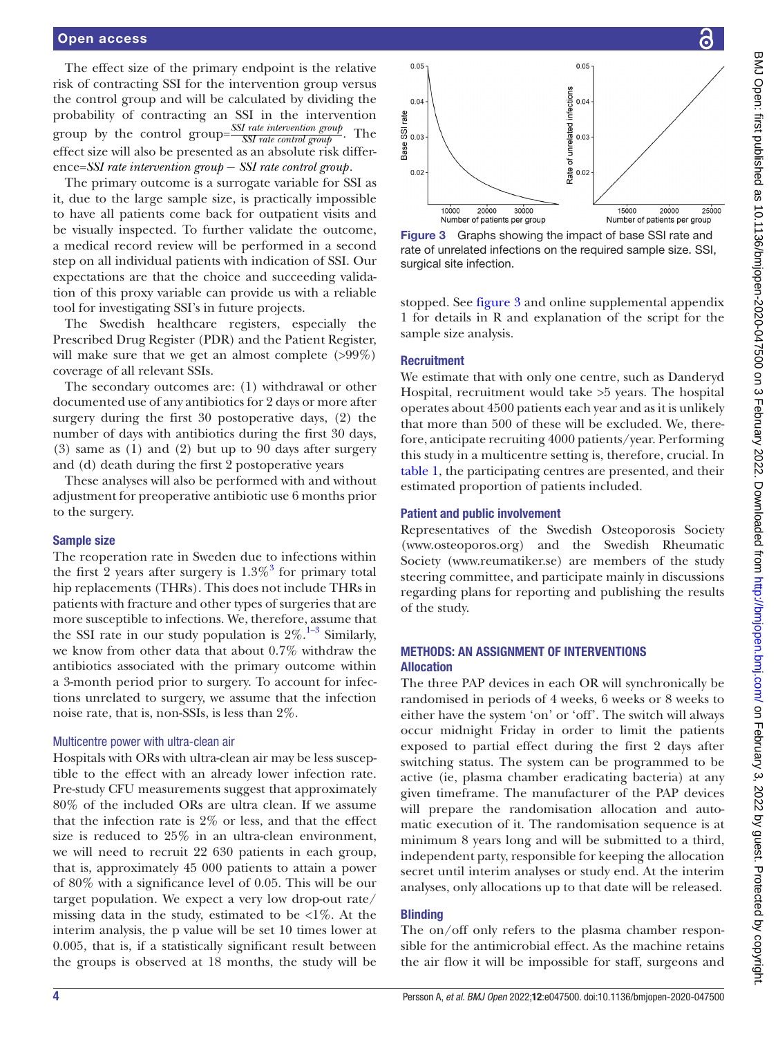The effect size of the primary endpoint is the relative risk of contracting SSI for the intervention group versus the control group and will be calculated by dividing the probability of contracting an SSI in the intervention group by the control group=*SSI rate intervention group SSI rate control group* . The group by the control group= $\frac{SST \text{ rate control group}}{SST \text{ rate control group}}$ . The effect size will also be presented as an absolute risk difference=*SSI rate intervention group − SSI rate control group*.

The primary outcome is a surrogate variable for SSI as it, due to the large sample size, is practically impossible to have all patients come back for outpatient visits and be visually inspected. To further validate the outcome, a medical record review will be performed in a second step on all individual patients with indication of SSI. Our expectations are that the choice and succeeding validation of this proxy variable can provide us with a reliable tool for investigating SSI's in future projects.

The Swedish healthcare registers, especially the Prescribed Drug Register (PDR) and the Patient Register, will make sure that we get an almost complete ( $>99\%$ ) coverage of all relevant SSIs.

The secondary outcomes are: (1) withdrawal or other documented use of any antibiotics for 2 days or more after surgery during the first 30 postoperative days, (2) the number of days with antibiotics during the first 30 days, (3) same as (1) and (2) but up to 90 days after surgery and (d) death during the first 2 postoperative years

These analyses will also be performed with and without adjustment for preoperative antibiotic use 6 months prior to the surgery.

#### Sample size

The reoperation rate in Sweden due to infections within the first 2 years after surgery is  $1.3\%$  $1.3\%$  $1.3\%$ <sup>3</sup> for primary total hip replacements (THRs). This does not include THRs in patients with fracture and other types of surgeries that are more susceptible to infections. We, therefore, assume that the SSI rate in our study population is  $2\%$ .<sup>1–3</sup> Similarly, we know from other data that about 0.7% withdraw the antibiotics associated with the primary outcome within a 3-month period prior to surgery. To account for infections unrelated to surgery, we assume that the infection noise rate, that is, non-SSIs, is less than 2%.

#### Multicentre power with ultra-clean air

Hospitals with ORs with ultra-clean air may be less susceptible to the effect with an already lower infection rate. Pre-study CFU measurements suggest that approximately 80% of the included ORs are ultra clean. If we assume that the infection rate is 2% or less, and that the effect size is reduced to 25% in an ultra-clean environment, we will need to recruit 22 630 patients in each group, that is, approximately 45 000 patients to attain a power of 80% with a significance level of 0.05. This will be our target population. We expect a very low drop-out rate/ missing data in the study, estimated to be  $\langle 1\% \rangle$ . At the interim analysis, the p value will be set 10 times lower at 0.005, that is, if a statistically significant result between the groups is observed at 18 months, the study will be



<span id="page-3-0"></span>Figure 3 Graphs showing the impact of base SSI rate and rate of unrelated infections on the required sample size. SSI, surgical site infection.

stopped. See [figure](#page-3-0) 3 and [online supplemental appendix](https://dx.doi.org/10.1136/bmjopen-2020-047500)  [1](https://dx.doi.org/10.1136/bmjopen-2020-047500) for details in R and explanation of the script for the sample size analysis.

## **Recruitment**

We estimate that with only one centre, such as Danderyd Hospital, recruitment would take >5 years. The hospital operates about 4500 patients each year and as it is unlikely that more than 500 of these will be excluded. We, therefore, anticipate recruiting 4000 patients/year. Performing this study in a multicentre setting is, therefore, crucial. In [table](#page-2-0) 1, the participating centres are presented, and their estimated proportion of patients included.

## Patient and public involvement

Representatives of the Swedish Osteoporosis Society [\(www.osteoporos.org](www.osteoporos.org)) and the Swedish Rheumatic Society ([www.reumatiker.se\)](www.reumatiker.se) are members of the study steering committee, and participate mainly in discussions regarding plans for reporting and publishing the results of the study.

## METHODS: AN ASSIGNMENT OF INTERVENTIONS Allocation

The three PAP devices in each OR will synchronically be randomised in periods of 4 weeks, 6 weeks or 8 weeks to either have the system 'on' or 'off'. The switch will always occur midnight Friday in order to limit the patients exposed to partial effect during the first 2 days after switching status. The system can be programmed to be active (ie, plasma chamber eradicating bacteria) at any given timeframe. The manufacturer of the PAP devices will prepare the randomisation allocation and automatic execution of it. The randomisation sequence is at minimum 8 years long and will be submitted to a third, independent party, responsible for keeping the allocation secret until interim analyses or study end. At the interim analyses, only allocations up to that date will be released.

## **Blinding**

The on/off only refers to the plasma chamber responsible for the antimicrobial effect. As the machine retains the air flow it will be impossible for staff, surgeons and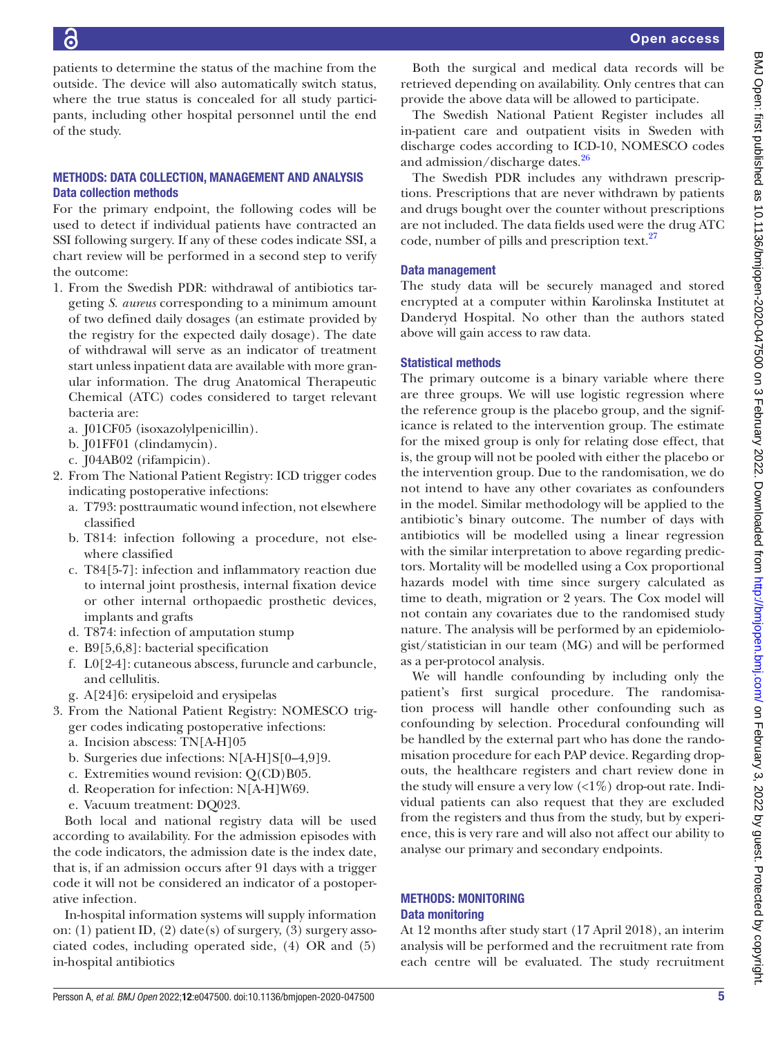patients to determine the status of the machine from the outside. The device will also automatically switch status, where the true status is concealed for all study participants, including other hospital personnel until the end of the study.

## METHODS: DATA COLLECTION, MANAGEMENT AND ANALYSIS Data collection methods

For the primary endpoint, the following codes will be used to detect if individual patients have contracted an SSI following surgery. If any of these codes indicate SSI, a chart review will be performed in a second step to verify the outcome:

- 1. From the Swedish PDR: withdrawal of antibiotics targeting *S. aureus* corresponding to a minimum amount of two defined daily dosages (an estimate provided by the registry for the expected daily dosage). The date of withdrawal will serve as an indicator of treatment start unless inpatient data are available with more granular information. The drug Anatomical Therapeutic Chemical (ATC) codes considered to target relevant bacteria are:
	- a. J01CF05 (isoxazolylpenicillin).
	- b. J01FF01 (clindamycin).
	- c. J04AB02 (rifampicin).
- 2. From The National Patient Registry: ICD trigger codes indicating postoperative infections:
	- a. T793: posttraumatic wound infection, not elsewhere classified
	- b. T814: infection following a procedure, not elsewhere classified
	- c. T84[5-7]: infection and inflammatory reaction due to internal joint prosthesis, internal fixation device or other internal orthopaedic prosthetic devices, implants and grafts
	- d. T874: infection of amputation stump
	- e. B9[5,6,8]: bacterial specification
	- f. L0[2-4]: cutaneous abscess, furuncle and carbuncle, and cellulitis.
	- g. A[24]6: erysipeloid and erysipelas
- 3. From the National Patient Registry: NOMESCO trigger codes indicating postoperative infections:
	- a. Incision abscess: TN[A-H]05
	- b. Surgeries due infections: N[A-H]S[0–4,9]9.
	- c. Extremities wound revision:  $Q(CD)B05$ .
	- d. Reoperation for infection: N[A-H]W69.
	- e. Vacuum treatment: DQ023.

Both local and national registry data will be used according to availability. For the admission episodes with the code indicators, the admission date is the index date, that is, if an admission occurs after 91 days with a trigger code it will not be considered an indicator of a postoperative infection.

In-hospital information systems will supply information on: (1) patient ID, (2) date(s) of surgery, (3) surgery associated codes, including operated side, (4) OR and (5) in-hospital antibiotics

Both the surgical and medical data records will be retrieved depending on availability. Only centres that can provide the above data will be allowed to participate.

The Swedish National Patient Register includes all in-patient care and outpatient visits in Sweden with discharge codes according to ICD-10, NOMESCO codes and admission/discharge dates.<sup>[26](#page-6-7)</sup>

The Swedish PDR includes any withdrawn prescriptions. Prescriptions that are never withdrawn by patients and drugs bought over the counter without prescriptions are not included. The data fields used were the drug ATC code, number of pills and prescription text.<sup>[27](#page-6-8)</sup>

## Data management

The study data will be securely managed and stored encrypted at a computer within Karolinska Institutet at Danderyd Hospital. No other than the authors stated above will gain access to raw data.

## Statistical methods

The primary outcome is a binary variable where there are three groups. We will use logistic regression where the reference group is the placebo group, and the significance is related to the intervention group. The estimate for the mixed group is only for relating dose effect, that is, the group will not be pooled with either the placebo or the intervention group. Due to the randomisation, we do not intend to have any other covariates as confounders in the model. Similar methodology will be applied to the antibiotic's binary outcome. The number of days with antibiotics will be modelled using a linear regression with the similar interpretation to above regarding predictors. Mortality will be modelled using a Cox proportional hazards model with time since surgery calculated as time to death, migration or 2 years. The Cox model will not contain any covariates due to the randomised study nature. The analysis will be performed by an epidemiologist/statistician in our team (MG) and will be performed as a per-protocol analysis.

We will handle confounding by including only the patient's first surgical procedure. The randomisation process will handle other confounding such as confounding by selection. Procedural confounding will be handled by the external part who has done the randomisation procedure for each PAP device. Regarding dropouts, the healthcare registers and chart review done in the study will ensure a very low  $\langle 1\% \rangle$  drop-out rate. Individual patients can also request that they are excluded from the registers and thus from the study, but by experience, this is very rare and will also not affect our ability to analyse our primary and secondary endpoints.

#### METHODS: MONITORING Data monitoring

At 12 months after study start (17 April 2018), an interim analysis will be performed and the recruitment rate from each centre will be evaluated. The study recruitment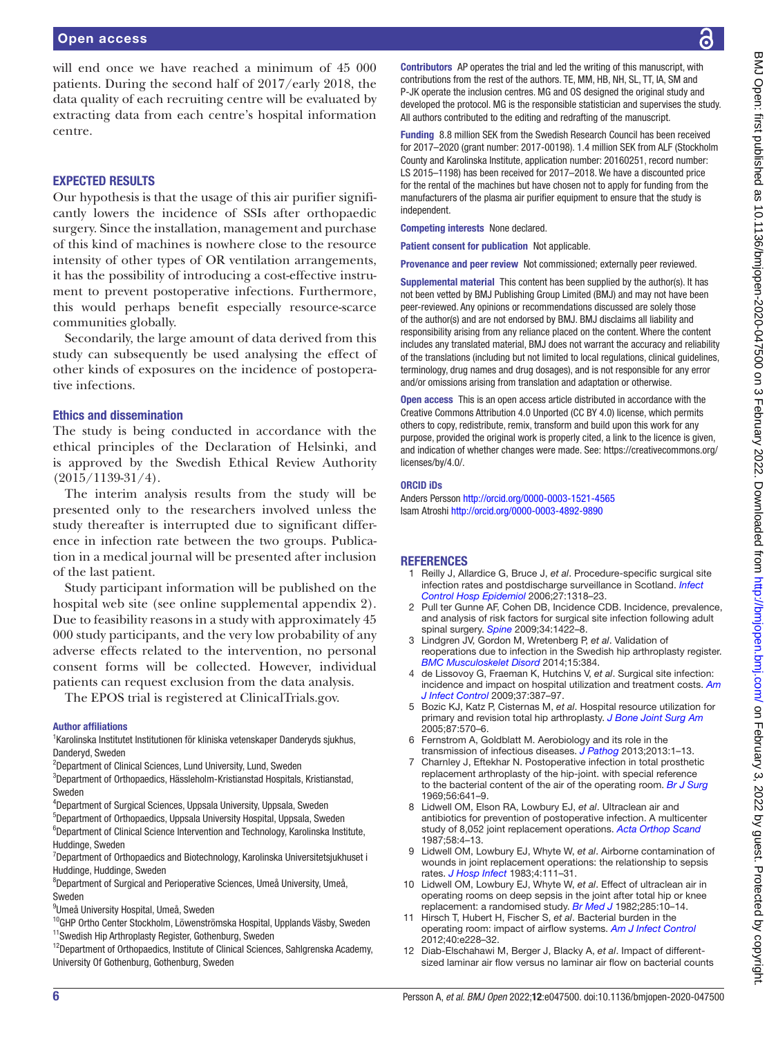will end once we have reached a minimum of 45 000 patients. During the second half of 2017/early 2018, the data quality of each recruiting centre will be evaluated by extracting data from each centre's hospital information centre.

#### EXPECTED RESULTS

Our hypothesis is that the usage of this air purifier significantly lowers the incidence of SSIs after orthopaedic surgery. Since the installation, management and purchase of this kind of machines is nowhere close to the resource intensity of other types of OR ventilation arrangements, it has the possibility of introducing a cost-effective instrument to prevent postoperative infections. Furthermore, this would perhaps benefit especially resource-scarce communities globally.

Secondarily, the large amount of data derived from this study can subsequently be used analysing the effect of other kinds of exposures on the incidence of postoperative infections.

#### Ethics and dissemination

The study is being conducted in accordance with the ethical principles of the Declaration of Helsinki, and is approved by the Swedish Ethical Review Authority (2015/1139-31/4).

The interim analysis results from the study will be presented only to the researchers involved unless the study thereafter is interrupted due to significant difference in infection rate between the two groups. Publication in a medical journal will be presented after inclusion of the last patient.

Study participant information will be published on the hospital web site (see [online supplemental appendix 2](https://dx.doi.org/10.1136/bmjopen-2020-047500)). Due to feasibility reasons in a study with approximately 45 000 study participants, and the very low probability of any adverse effects related to the intervention, no personal consent forms will be collected. However, individual patients can request exclusion from the data analysis.

The EPOS trial is registered at ClinicalTrials.gov.

#### Author affiliations

1 Karolinska Institutet Institutionen för kliniska vetenskaper Danderyds sjukhus, Danderyd, Sweden

<sup>2</sup>Department of Clinical Sciences, Lund University, Lund, Sweden

3 Department of Orthopaedics, Hässleholm-Kristianstad Hospitals, Kristianstad, Sweden

- 4 Department of Surgical Sciences, Uppsala University, Uppsala, Sweden
- 5 Department of Orthopaedics, Uppsala University Hospital, Uppsala, Sweden <sup>6</sup>Department of Clinical Science Intervention and Technology, Karolinska Institute, Huddinge, Sweden

<sup>7</sup>Department of Orthopaedics and Biotechnology, Karolinska Universitetsjukhuset i Huddinge, Huddinge, Sweden

8 Department of Surgical and Perioperative Sciences, Umeå University, Umeå, Sweden

9 Umeå University Hospital, Umeå, Sweden

<sup>10</sup>GHP Ortho Center Stockholm, Löwenströmska Hospital, Upplands Väsby, Sweden <sup>11</sup>Swedish Hip Arthroplasty Register, Gothenburg, Sweden

<sup>12</sup>Department of Orthopaedics, Institute of Clinical Sciences, Sahlgrenska Academy, University Of Gothenburg, Gothenburg, Sweden

Contributors AP operates the trial and led the writing of this manuscript, with contributions from the rest of the authors. TE, MM, HB, NH, SL, TT, IA, SM and P-JK operate the inclusion centres. MG and OS designed the original study and developed the protocol. MG is the responsible statistician and supervises the study. All authors contributed to the editing and redrafting of the manuscript.

Funding 8.8 million SEK from the Swedish Research Council has been received for 2017–2020 (grant number: 2017-00198). 1.4 million SEK from ALF (Stockholm County and Karolinska Institute, application number: 20160251, record number: LS 2015–1198) has been received for 2017–2018. We have a discounted price for the rental of the machines but have chosen not to apply for funding from the manufacturers of the plasma air purifier equipment to ensure that the study is independent.

Competing interests None declared.

Patient consent for publication Not applicable.

Provenance and peer review Not commissioned; externally peer reviewed.

Supplemental material This content has been supplied by the author(s). It has not been vetted by BMJ Publishing Group Limited (BMJ) and may not have been peer-reviewed. Any opinions or recommendations discussed are solely those of the author(s) and are not endorsed by BMJ. BMJ disclaims all liability and responsibility arising from any reliance placed on the content. Where the content includes any translated material, BMJ does not warrant the accuracy and reliability of the translations (including but not limited to local regulations, clinical guidelines, terminology, drug names and drug dosages), and is not responsible for any error and/or omissions arising from translation and adaptation or otherwise.

**Open access** This is an open access article distributed in accordance with the Creative Commons Attribution 4.0 Unported (CC BY 4.0) license, which permits others to copy, redistribute, remix, transform and build upon this work for any purpose, provided the original work is properly cited, a link to the licence is given, and indication of whether changes were made. See: [https://creativecommons.org/](https://creativecommons.org/licenses/by/4.0/) [licenses/by/4.0/](https://creativecommons.org/licenses/by/4.0/).

#### ORCID iDs

Anders Persson <http://orcid.org/0000-0003-1521-4565> Isam Atroshi <http://orcid.org/0000-0003-4892-9890>

#### **REFERENCES**

- <span id="page-5-0"></span>1 Reilly J, Allardice G, Bruce J, *et al*. Procedure-specific surgical site infection rates and postdischarge surveillance in Scotland. *[Infect](http://dx.doi.org/10.1086/509839)  [Control Hosp Epidemiol](http://dx.doi.org/10.1086/509839)* 2006;27:1318–23.
- 2 Pull ter Gunne AF, Cohen DB, Incidence CDB. Incidence, prevalence, and analysis of risk factors for surgical site infection following adult spinal surgery. *[Spine](http://dx.doi.org/10.1097/BRS.0b013e3181a03013)* 2009;34:1422–8.
- <span id="page-5-6"></span>3 Lindgren JV, Gordon M, Wretenberg P, *et al*. Validation of reoperations due to infection in the Swedish hip arthroplasty register. *[BMC Musculoskelet Disord](http://dx.doi.org/10.1186/1471-2474-15-384)* 2014;15:384.
- <span id="page-5-1"></span>4 de Lissovoy G, Fraeman K, Hutchins V, *et al*. Surgical site infection: incidence and impact on hospital utilization and treatment costs. *[Am](http://dx.doi.org/10.1016/j.ajic.2008.12.010)  [J Infect Control](http://dx.doi.org/10.1016/j.ajic.2008.12.010)* 2009;37:387–97.
- 5 Bozic KJ, Katz P, Cisternas M, *et al*. Hospital resource utilization for primary and revision total hip arthroplasty. *[J Bone Joint Surg Am](http://dx.doi.org/10.2106/00004623-200503000-00014)* 2005;87:570–6.
- <span id="page-5-2"></span>6 Fernstrom A, Goldblatt M. Aerobiology and its role in the transmission of infectious diseases. *[J Pathog](http://dx.doi.org/10.1155/2013/493960)* 2013;2013:1–13.
- <span id="page-5-3"></span>7 Charnley J, Eftekhar N. Postoperative infection in total prosthetic replacement arthroplasty of the hip-joint. with special reference to the bacterial content of the air of the operating room. *[Br J Surg](http://dx.doi.org/10.1002/bjs.1800560902)* 1969;56:641–9.
- <span id="page-5-4"></span>8 Lidwell OM, Elson RA, Lowbury EJ, *et al*. Ultraclean air and antibiotics for prevention of postoperative infection. A multicenter study of 8,052 joint replacement operations. *[Acta Orthop Scand](http://dx.doi.org/10.3109/17453678709146334)* 1987;58:4–13.
- 9 Lidwell OM, Lowbury EJ, Whyte W, *et al*. Airborne contamination of wounds in joint replacement operations: the relationship to sepsis rates. *[J Hosp Infect](http://dx.doi.org/10.1016/0195-6701(83)90041-5)* 1983;4:111–31.
- 10 Lidwell OM, Lowbury EJ, Whyte W, *et al*. Effect of ultraclean air in operating rooms on deep sepsis in the joint after total hip or knee replacement: a randomised study. *[Br Med J](http://dx.doi.org/10.1136/bmj.285.6334.10)* 1982;285:10–14.
- <span id="page-5-5"></span>11 Hirsch T, Hubert H, Fischer S, *et al*. Bacterial burden in the operating room: impact of airflow systems. *[Am J Infect Control](http://dx.doi.org/10.1016/j.ajic.2012.01.007)* 2012;40:e228–32.
- 12 Diab-Elschahawi M, Berger J, Blacky A, *et al*. Impact of differentsized laminar air flow versus no laminar air flow on bacterial counts